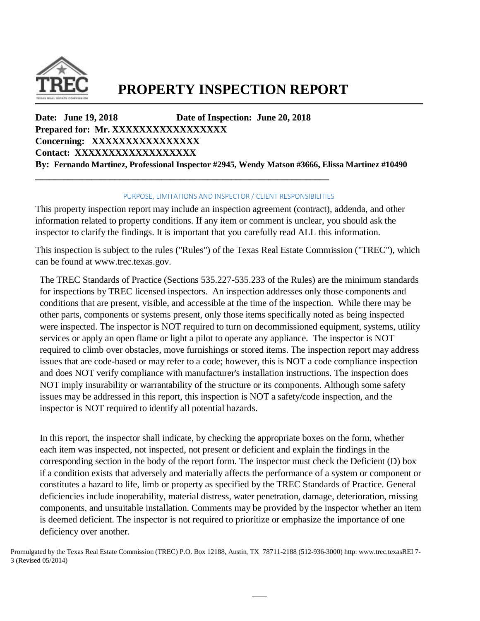

# **PROPERTY INSPECTION REPORT**

**Date: June 19, 2018 Date of Inspection: June 20, 2018** Prepared for: Mr. XXXXXXXXXXXXXXXX **Concerning: XXXXXXXXXXXXXXXX Contact: XXXXXXXXXXXXXXXXXX By: Fernando Martinez, Professional Inspector #2945, Wendy Matson #3666, Elissa Martinez #10490** 

**\_\_\_\_\_\_\_\_\_\_\_\_\_\_\_\_\_\_\_\_\_\_\_\_\_\_\_\_\_\_\_\_\_\_\_\_\_\_\_\_\_\_\_\_\_\_\_\_\_\_\_\_\_\_\_\_\_\_\_\_\_\_\_**

#### PURPOSE, LIMITATIONS AND INSPECTOR / CLIENT RESPONSIBILITIES

This property inspection report may include an inspection agreement (contract), addenda, and other information related to property conditions. If any item or comment is unclear, you should ask the inspector to clarify the findings. It is important that you carefully read ALL this information.

This inspection is subject to the rules ("Rules") of the Texas Real Estate Commission ("TREC"), which can be found at www.trec.texas.gov.

The TREC Standards of Practice (Sections 535.227-535.233 of the Rules) are the minimum standards for inspections by TREC licensed inspectors. An inspection addresses only those components and conditions that are present, visible, and accessible at the time of the inspection. While there may be other parts, components or systems present, only those items specifically noted as being inspected were inspected. The inspector is NOT required to turn on decommissioned equipment, systems, utility services or apply an open flame or light a pilot to operate any appliance. The inspector is NOT required to climb over obstacles, move furnishings or stored items. The inspection report may address issues that are code-based or may refer to a code; however, this is NOT a code compliance inspection and does NOT verify compliance with manufacturer's installation instructions. The inspection does NOT imply insurability or warrantability of the structure or its components. Although some safety issues may be addressed in this report, this inspection is NOT a safety/code inspection, and the inspector is NOT required to identify all potential hazards.

In this report, the inspector shall indicate, by checking the appropriate boxes on the form, whether each item was inspected, not inspected, not present or deficient and explain the findings in the corresponding section in the body of the report form. The inspector must check the Deficient (D) box if a condition exists that adversely and materially affects the performance of a system or component or constitutes a hazard to life, limb or property as specified by the TREC Standards of Practice. General deficiencies include inoperability, material distress, water penetration, damage, deterioration, missing components, and unsuitable installation. Comments may be provided by the inspector whether an item is deemed deficient. The inspector is not required to prioritize or emphasize the importance of one deficiency over another.

Promulgated by the Texas Real Estate Commission (TREC) P.O. Box 12188, Austin, TX 78711-2188 (512-936-3000) http: www.trec.texasREI 7- 3 (Revised 05/2014)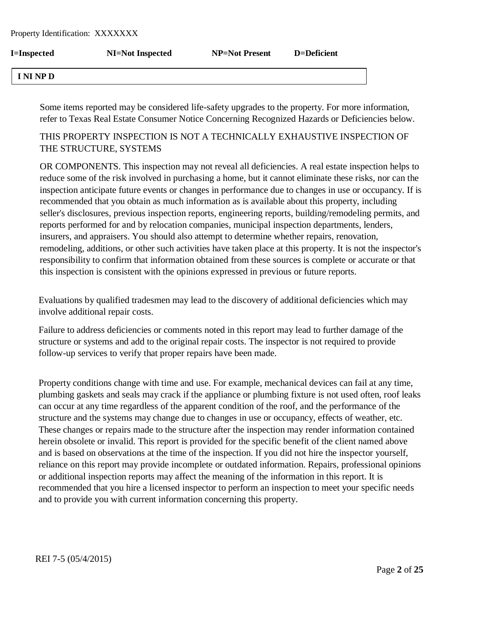| <b>I=Inspected</b> | NI=Not Inspected | NP=Not Present | D=Deficient |
|--------------------|------------------|----------------|-------------|
| I NI NP D          |                  |                |             |

Some items reported may be considered life-safety upgrades to the property. For more information, refer to Texas Real Estate Consumer Notice Concerning Recognized Hazards or Deficiencies below.

## THIS PROPERTY INSPECTION IS NOT A TECHNICALLY EXHAUSTIVE INSPECTION OF THE STRUCTURE, SYSTEMS

OR COMPONENTS. This inspection may not reveal all deficiencies. A real estate inspection helps to reduce some of the risk involved in purchasing a home, but it cannot eliminate these risks, nor can the inspection anticipate future events or changes in performance due to changes in use or occupancy. If is recommended that you obtain as much information as is available about this property, including seller's disclosures, previous inspection reports, engineering reports, building/remodeling permits, and reports performed for and by relocation companies, municipal inspection departments, lenders, insurers, and appraisers. You should also attempt to determine whether repairs, renovation, remodeling, additions, or other such activities have taken place at this property. It is not the inspector's responsibility to confirm that information obtained from these sources is complete or accurate or that this inspection is consistent with the opinions expressed in previous or future reports.

Evaluations by qualified tradesmen may lead to the discovery of additional deficiencies which may involve additional repair costs.

Failure to address deficiencies or comments noted in this report may lead to further damage of the structure or systems and add to the original repair costs. The inspector is not required to provide follow-up services to verify that proper repairs have been made.

Property conditions change with time and use. For example, mechanical devices can fail at any time, plumbing gaskets and seals may crack if the appliance or plumbing fixture is not used often, roof leaks can occur at any time regardless of the apparent condition of the roof, and the performance of the structure and the systems may change due to changes in use or occupancy, effects of weather, etc. These changes or repairs made to the structure after the inspection may render information contained herein obsolete or invalid. This report is provided for the specific benefit of the client named above and is based on observations at the time of the inspection. If you did not hire the inspector yourself, reliance on this report may provide incomplete or outdated information. Repairs, professional opinions or additional inspection reports may affect the meaning of the information in this report. It is recommended that you hire a licensed inspector to perform an inspection to meet your specific needs and to provide you with current information concerning this property.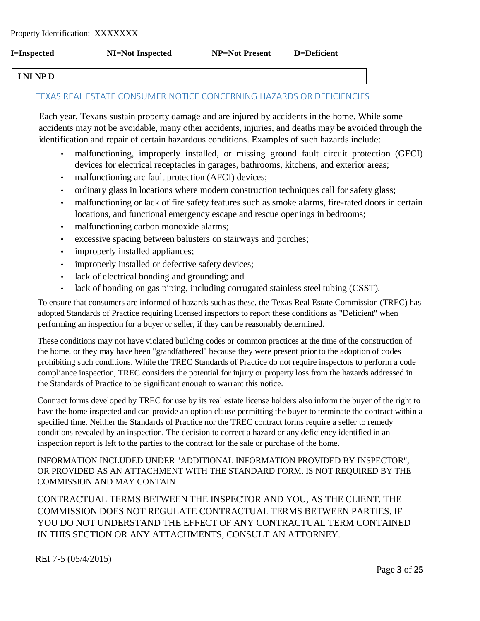| <b>I=Inspected</b> | <b>NI=Not Inspected</b> | <b>NP=Not Present</b> | D=Deficient |
|--------------------|-------------------------|-----------------------|-------------|
|                    |                         |                       |             |

## TEXAS REAL ESTATE CONSUMER NOTICE CONCERNING HAZARDS OR DEFICIENCIES

Each year, Texans sustain property damage and are injured by accidents in the home. While some accidents may not be avoidable, many other accidents, injuries, and deaths may be avoided through the identification and repair of certain hazardous conditions. Examples of such hazards include:

- malfunctioning, improperly installed, or missing ground fault circuit protection (GFCI) devices for electrical receptacles in garages, bathrooms, kitchens, and exterior areas;
- malfunctioning arc fault protection (AFCI) devices;
- ordinary glass in locations where modern construction techniques call for safety glass;
- malfunctioning or lack of fire safety features such as smoke alarms, fire-rated doors in certain locations, and functional emergency escape and rescue openings in bedrooms;
- malfunctioning carbon monoxide alarms;
- excessive spacing between balusters on stairways and porches;
- improperly installed appliances;
- improperly installed or defective safety devices;
- lack of electrical bonding and grounding; and
- lack of bonding on gas piping, including corrugated stainless steel tubing (CSST).

To ensure that consumers are informed of hazards such as these, the Texas Real Estate Commission (TREC) has adopted Standards of Practice requiring licensed inspectors to report these conditions as "Deficient" when performing an inspection for a buyer or seller, if they can be reasonably determined.

These conditions may not have violated building codes or common practices at the time of the construction of the home, or they may have been "grandfathered" because they were present prior to the adoption of codes prohibiting such conditions. While the TREC Standards of Practice do not require inspectors to perform a code compliance inspection, TREC considers the potential for injury or property loss from the hazards addressed in the Standards of Practice to be significant enough to warrant this notice.

Contract forms developed by TREC for use by its real estate license holders also inform the buyer of the right to have the home inspected and can provide an option clause permitting the buyer to terminate the contract within a specified time. Neither the Standards of Practice nor the TREC contract forms require a seller to remedy conditions revealed by an inspection. The decision to correct a hazard or any deficiency identified in an inspection report is left to the parties to the contract for the sale or purchase of the home.

INFORMATION INCLUDED UNDER "ADDITIONAL INFORMATION PROVIDED BY INSPECTOR", OR PROVIDED AS AN ATTACHMENT WITH THE STANDARD FORM, IS NOT REQUIRED BY THE COMMISSION AND MAY CONTAIN

CONTRACTUAL TERMS BETWEEN THE INSPECTOR AND YOU, AS THE CLIENT. THE COMMISSION DOES NOT REGULATE CONTRACTUAL TERMS BETWEEN PARTIES. IF YOU DO NOT UNDERSTAND THE EFFECT OF ANY CONTRACTUAL TERM CONTAINED IN THIS SECTION OR ANY ATTACHMENTS, CONSULT AN ATTORNEY.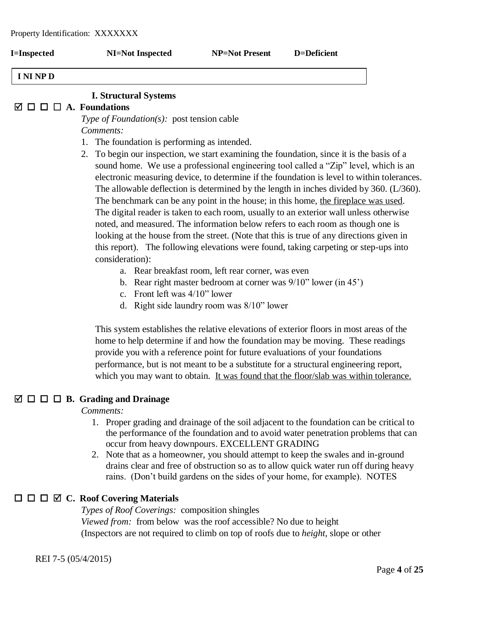| I=Inspected | NI=Not Inspected | <b>NP=Not Present</b> | D=Deficient |  |
|-------------|------------------|-----------------------|-------------|--|
| I NI NP D   |                  |                       |             |  |
|             | _ _ _ _ _ _ _    |                       |             |  |

### **I. Structural Systems**

## $\boxtimes$   $\square$   $\square$   $\square$  A. Foundations

*Type of Foundation(s):* post tension cable *Comments:*

- 1. The foundation is performing as intended.
- 2. To begin our inspection, we start examining the foundation, since it is the basis of a sound home. We use a professional engineering tool called a "Zip" level, which is an electronic measuring device, to determine if the foundation is level to within tolerances. The allowable deflection is determined by the length in inches divided by 360. (L/360). The benchmark can be any point in the house; in this home, the fireplace was used. The digital reader is taken to each room, usually to an exterior wall unless otherwise noted, and measured. The information below refers to each room as though one is looking at the house from the street. (Note that this is true of any directions given in this report). The following elevations were found, taking carpeting or step-ups into consideration):
	- a. Rear breakfast room, left rear corner, was even
	- b. Rear right master bedroom at corner was 9/10" lower (in 45')
	- c. Front left was 4/10" lower
	- d. Right side laundry room was 8/10" lower

This system establishes the relative elevations of exterior floors in most areas of the home to help determine if and how the foundation may be moving. These readings provide you with a reference point for future evaluations of your foundations performance, but is not meant to be a substitute for a structural engineering report, which you may want to obtain. It was found that the floor/slab was within tolerance.

#### $\boxtimes$   $\Box$   $\Box$   $\Box$  B. Grading and Drainage

#### *Comments:*

- 1. Proper grading and drainage of the soil adjacent to the foundation can be critical to the performance of the foundation and to avoid water penetration problems that can occur from heavy downpours. EXCELLENT GRADING
- 2. Note that as a homeowner, you should attempt to keep the swales and in-ground drains clear and free of obstruction so as to allow quick water run off during heavy rains. (Don't build gardens on the sides of your home, for example). NOTES

#### **C. Roof Covering Materials**

*Types of Roof Coverings:* composition shingles *Viewed from:* from below was the roof accessible? No due to height (Inspectors are not required to climb on top of roofs due to *height*, slope or other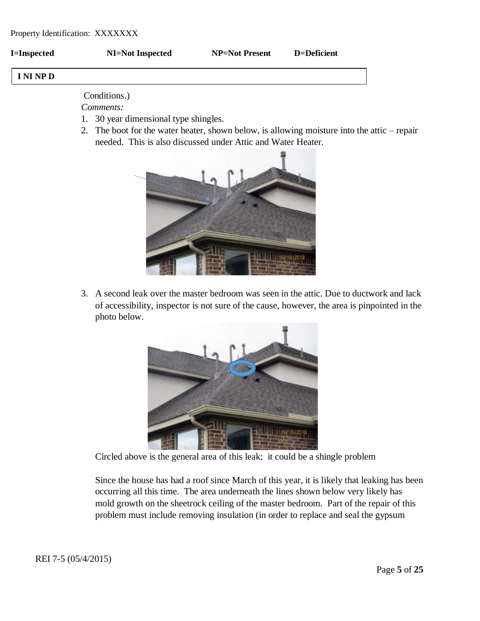| <b>I=Inspected</b> | NI=Not Inspected | <b>NP=Not Present</b> | D=Deficient |
|--------------------|------------------|-----------------------|-------------|
| I NI NP D          |                  |                       |             |
|                    | ___              |                       |             |

Conditions.)

*Comments:*

- 1. 30 year dimensional type shingles.
- 2. The boot for the water heater, shown below, is allowing moisture into the attic repair needed. This is also discussed under Attic and Water Heater.



3. A second leak over the master bedroom was seen in the attic. Due to ductwork and lack of accessibility, inspector is not sure of the cause, however, the area is pinpointed in the photo below.



Circled above is the general area of this leak; it could be a shingle problem

Since the house has had a roof since March of this year, it is likely that leaking has been occurring all this time. The area underneath the lines shown below very likely has mold growth on the sheetrock ceiling of the master bedroom. Part of the repair of this problem must include removing insulation (in order to replace and seal the gypsum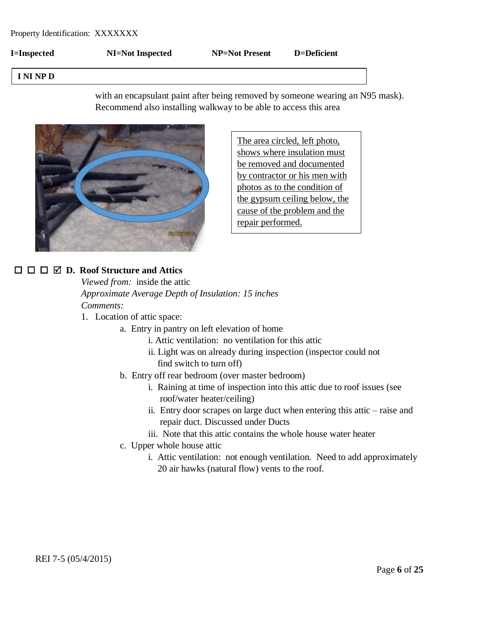| <b>I=Inspected</b> | NI=Not Inspected | <b>NP=Not Present</b> | D=Deficient |
|--------------------|------------------|-----------------------|-------------|
|                    |                  |                       |             |

with an encapsulant paint after being removed by someone wearing an N95 mask). Recommend also installing walkway to be able to access this area



The area circled, left photo, shows where insulation must be removed and documented by contractor or his men with photos as to the condition of the gypsum ceiling below, the cause of the problem and the repair performed.

## **D. Roof Structure and Attics**

*Viewed from:* inside the attic *Approximate Average Depth of Insulation: 15 inches Comments:* 

- 1. Location of attic space:
	- a. Entry in pantry on left elevation of home
		- i. Attic ventilation: no ventilation for this attic
		- ii. Light was on already during inspection (inspector could not find switch to turn off)
	- b. Entry off rear bedroom (over master bedroom)
		- i. Raining at time of inspection into this attic due to roof issues (see roof/water heater/ceiling)
		- ii. Entry door scrapes on large duct when entering this attic raise and repair duct. Discussed under Ducts
		- iii. Note that this attic contains the whole house water heater
	- c. Upper whole house attic
		- i. Attic ventilation: not enough ventilation. Need to add approximately 20 air hawks (natural flow) vents to the roof.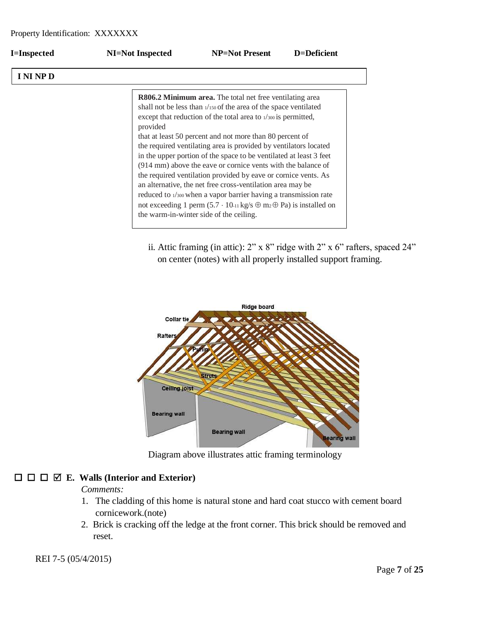| <b>I=Inspected</b> | NI=Not Inspected | NP=Not Present                                                                                                                                                                                                                                                                                                                                                                                                                                                                                                                                                                                                                                                                                                                                                                                                                      | $D = Deficient$ |
|--------------------|------------------|-------------------------------------------------------------------------------------------------------------------------------------------------------------------------------------------------------------------------------------------------------------------------------------------------------------------------------------------------------------------------------------------------------------------------------------------------------------------------------------------------------------------------------------------------------------------------------------------------------------------------------------------------------------------------------------------------------------------------------------------------------------------------------------------------------------------------------------|-----------------|
| <b>ININPD</b>      |                  |                                                                                                                                                                                                                                                                                                                                                                                                                                                                                                                                                                                                                                                                                                                                                                                                                                     |                 |
|                    | provided         | R806.2 Minimum area. The total net free ventilating area<br>shall not be less than $1/150$ of the area of the space ventilated<br>except that reduction of the total area to $1/300$ is permitted,<br>that at least 50 percent and not more than 80 percent of<br>the required ventilating area is provided by ventilators located<br>in the upper portion of the space to be ventilated at least 3 feet<br>(914 mm) above the eave or cornice vents with the balance of<br>the required ventilation provided by eave or cornice vents. As<br>an alternative, the net free cross-ventilation area may be<br>reduced to 1/300 when a vapor barrier having a transmission rate<br>not exceeding 1 perm $(5.7 \cdot 10.11 \text{ kg/s} \oplus \text{m}_2 \oplus \text{Pa})$ is installed on<br>the warm-in-winter side of the ceiling. |                 |

ii. Attic framing (in attic): 2" x 8" ridge with 2" x 6" rafters, spaced 24" on center (notes) with all properly installed support framing.



Diagram above illustrates attic framing terminology

# **E. Walls (Interior and Exterior)**

*Comments:*

- 1. The cladding of this home is natural stone and hard coat stucco with cement board cornicework.(note)
- 2. Brick is cracking off the ledge at the front corner. This brick should be removed and reset.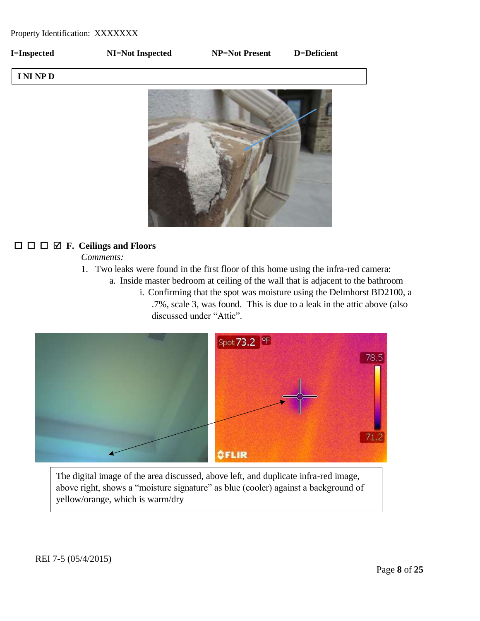| <b>I=Inspected</b> | <b>NI=Not Inspected</b> | <b>NP=Not Present</b> | D=Deficient |
|--------------------|-------------------------|-----------------------|-------------|
|                    |                         |                       |             |



## **F. Ceilings and Floors**

## *Comments:*

- 1. Two leaks were found in the first floor of this home using the infra-red camera:
	- a. Inside master bedroom at ceiling of the wall that is adjacent to the bathroom i. Confirming that the spot was moisture using the Delmhorst BD2100, a .7%, scale 3, was found. This is due to a leak in the attic above (also discussed under "Attic".



The digital image of the area discussed, above left, and duplicate infra-red image, above right, shows a "moisture signature" as blue (cooler) against a background of yellow/orange, which is warm/dry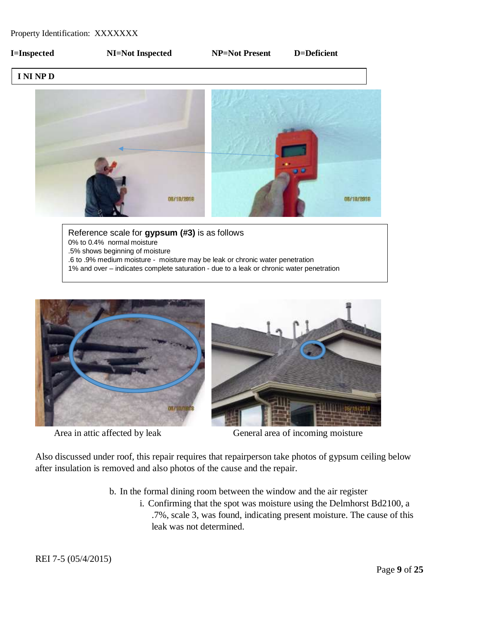| <b>I=Inspected</b> | <b>NI=Not Inspected</b> | <b>NP=Not Present</b> | D=Deficient |
|--------------------|-------------------------|-----------------------|-------------|
|                    |                         |                       |             |



Reference scale for **gypsum (#3)** is as follows 0% to 0.4% normal moisture .5% shows beginning of moisture .6 to .9% medium moisture - moisture may be leak or chronic water penetration 1% and over – indicates complete saturation - due to a leak or chronic water penetration





Area in attic affected by leak General area of incoming moisture

Also discussed under roof, this repair requires that repairperson take photos of gypsum ceiling below after insulation is removed and also photos of the cause and the repair.

b. In the formal dining room between the window and the air register

i. Confirming that the spot was moisture using the Delmhorst Bd2100, a .7%, scale 3, was found, indicating present moisture. The cause of this leak was not determined.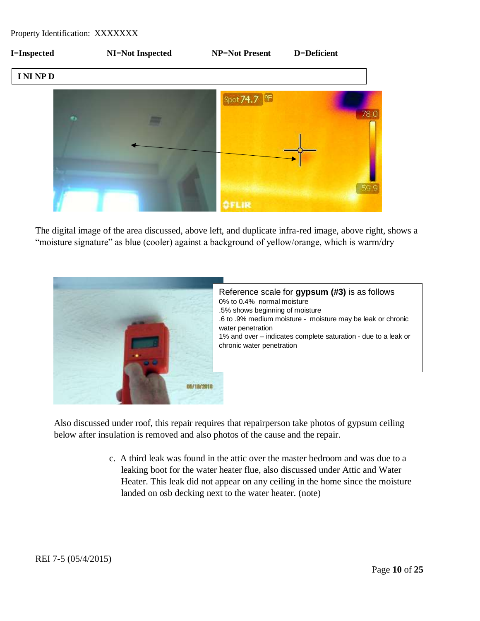| <b>I=Inspected</b> | <b>NI=Not Inspected</b> | <b>NP=Not Present</b>      | D=Deficient |
|--------------------|-------------------------|----------------------------|-------------|
| <b>ININPD</b>      |                         |                            |             |
|                    |                         | Spot 74.7 F                |             |
| i.                 |                         |                            | 78.0        |
|                    |                         |                            |             |
|                    |                         |                            |             |
|                    |                         | <b><i><u>OFLIR</u></i></b> | 59.9        |

The digital image of the area discussed, above left, and duplicate infra-red image, above right, shows a "moisture signature" as blue (cooler) against a background of yellow/orange, which is warm/dry



 Also discussed under roof, this repair requires that repairperson take photos of gypsum ceiling below after insulation is removed and also photos of the cause and the repair.

> c. A third leak was found in the attic over the master bedroom and was due to a leaking boot for the water heater flue, also discussed under Attic and Water Heater. This leak did not appear on any ceiling in the home since the moisture landed on osb decking next to the water heater. (note)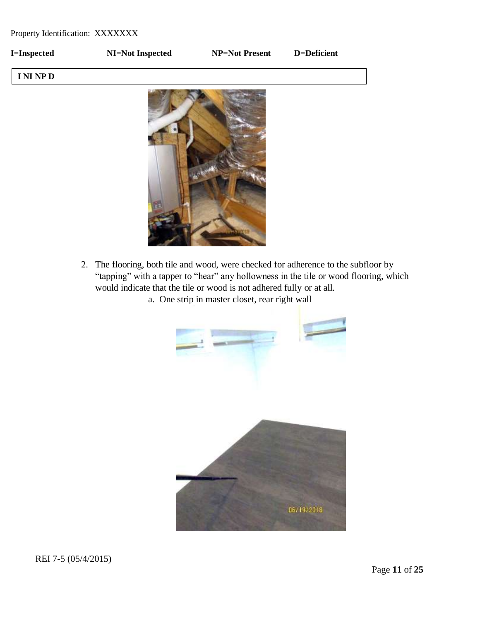| <b>I=Inspected</b> | NI=Not Inspected | <b>NP=Not Present</b> | D=Deficient |
|--------------------|------------------|-----------------------|-------------|



2. The flooring, both tile and wood, were checked for adherence to the subfloor by "tapping" with a tapper to "hear" any hollowness in the tile or wood flooring, which would indicate that the tile or wood is not adhered fully or at all. a. One strip in master closet, rear right wall

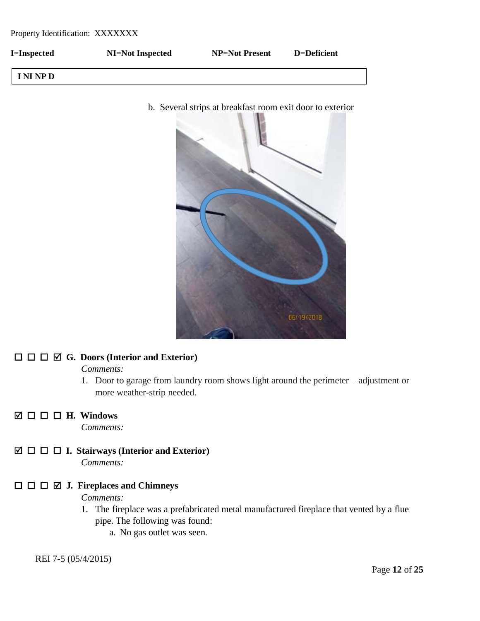| <b>I=Inspected</b> | NI=Not Inspected | <b>NP=Not Present</b> | D=Deficient |
|--------------------|------------------|-----------------------|-------------|
| 'I NI NP D         |                  |                       |             |

b. Several strips at breakfast room exit door to exterior



## **G. Doors (Interior and Exterior)**

#### *Comments:*

1. Door to garage from laundry room shows light around the perimeter – adjustment or more weather-strip needed.

## $\boxtimes$   $\Box$   $\Box$   $\Box$  **H.** Windows

*Comments:*

 **I. Stairways (Interior and Exterior)** *Comments:*

## **J. Fireplaces and Chimneys**

#### *Comments:*

- 1. The fireplace was a prefabricated metal manufactured fireplace that vented by a flue pipe. The following was found:
	- a. No gas outlet was seen.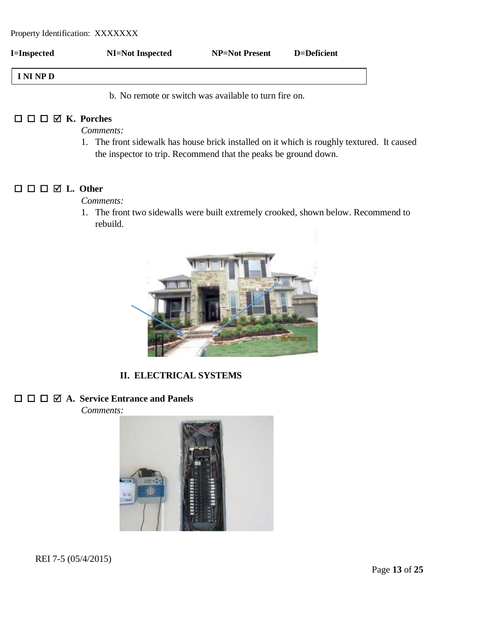| <b>I=Inspected</b> | NI=Not Inspected | NP=Not Present | D=Deficient |
|--------------------|------------------|----------------|-------------|
| I NI NP D          |                  |                |             |

b. No remote or switch was available to turn fire on.

## $\Box$   $\Box$   $\Box$   $\Box$  **K.** Porches

*Comments:*

1. The front sidewalk has house brick installed on it which is roughly textured. It caused the inspector to trip. Recommend that the peaks be ground down.

## **L. Other**

*Comments:*

1. The front two sidewalls were built extremely crooked, shown below. Recommend to rebuild.



**II. ELECTRICAL SYSTEMS**

 **A. Service Entrance and Panels**

*Comments:*

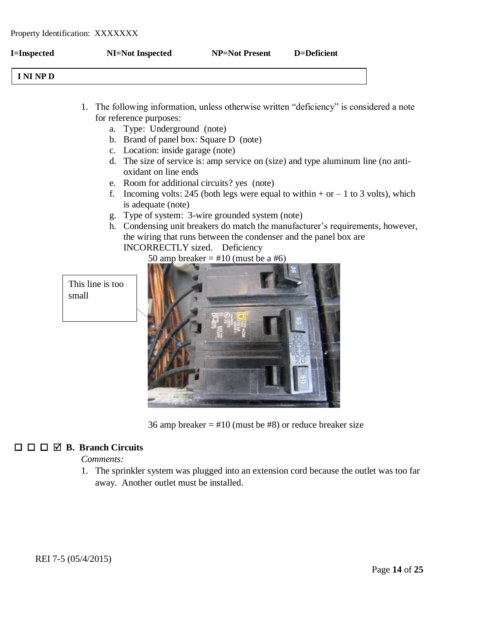| <b>I=Inspected</b> | NI=Not Inspected | NP=Not Present | D=Deficient |
|--------------------|------------------|----------------|-------------|
| I NI NP D          |                  |                |             |

- 1. The following information, unless otherwise written "deficiency" is considered a note for reference purposes:
	- a. Type: Underground (note)
	- b. Brand of panel box: Square D (note)
	- c. Location: inside garage (note)
	- d. The size of service is: amp service on (size) and type aluminum line (no antioxidant on line ends
	- e. Room for additional circuits? yes (note)
	- f. Incoming volts: 245 (both legs were equal to within  $+$  or  $-1$  to 3 volts), which is adequate (note)
	- g. Type of system: 3-wire grounded system (note)
	- h. Condensing unit breakers do match the manufacturer's requirements, however, the wiring that runs between the condenser and the panel box are INCORRECTLY sized. Deficiency

50 amp breaker =  $\#10$  (must be a  $\#6$ )

This line is too small



36 amp breaker  $=$  #10 (must be #8) or reduce breaker size

#### $\Box$   $\Box$   $\Box$   $\Box$  **B.** Branch Circuits

*Comments:*

1. The sprinkler system was plugged into an extension cord because the outlet was too far away. Another outlet must be installed.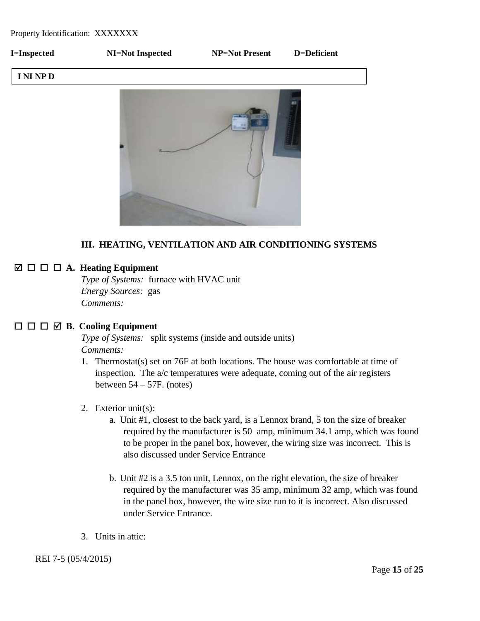| <b>I=Inspected</b> | <b>NI=Not Inspected</b> | <b>NP=Not Present</b> | D=Deficient |
|--------------------|-------------------------|-----------------------|-------------|
| <b>ININPD</b>      |                         |                       |             |
|                    |                         |                       |             |

## **III. HEATING, VENTILATION AND AIR CONDITIONING SYSTEMS**

## $\boxtimes$   $\square$   $\square$   $\square$  A. Heating Equipment

*Type of Systems:* furnace with HVAC unit *Energy Sources:* gas *Comments:*

## $\Box$   $\Box$   $\Box$   $\Box$   $\Box$  **B.** Cooling Equipment

*Type of Systems:* split systems (inside and outside units) *Comments:*

- 1. Thermostat(s) set on 76F at both locations. The house was comfortable at time of inspection. The a/c temperatures were adequate, coming out of the air registers between  $54 - 57$ F. (notes)
- 2. Exterior unit(s):
	- a. Unit #1, closest to the back yard, is a Lennox brand, 5 ton the size of breaker required by the manufacturer is 50 amp, minimum 34.1 amp, which was found to be proper in the panel box, however, the wiring size was incorrect. This is also discussed under Service Entrance
	- b. Unit #2 is a 3.5 ton unit, Lennox, on the right elevation, the size of breaker required by the manufacturer was 35 amp, minimum 32 amp, which was found in the panel box, however, the wire size run to it is incorrect. Also discussed under Service Entrance.
- 3. Units in attic: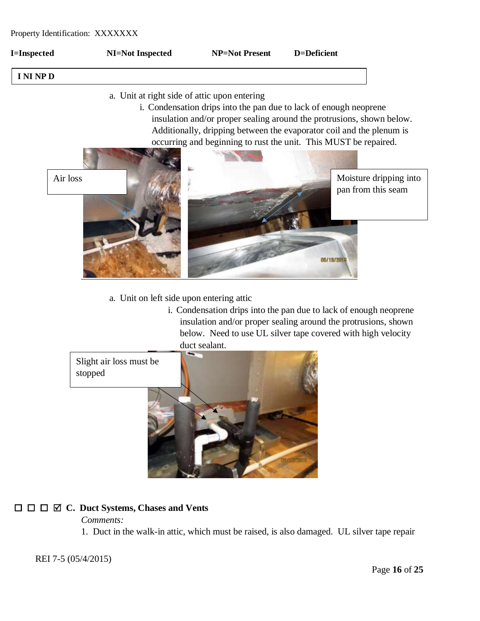| I=Inspected | NI=Not Inspected                             | <b>NP=Not Present</b> | D=Deficient |
|-------------|----------------------------------------------|-----------------------|-------------|
| I NI NP D   |                                              |                       |             |
|             | a. Unit at right side of attic upon entering |                       |             |

i. Condensation drips into the pan due to lack of enough neoprene insulation and/or proper sealing around the protrusions, shown below. Additionally, dripping between the evaporator coil and the plenum is occurring and beginning to rust the unit. This MUST be repaired.



- a. Unit on left side upon entering attic
	- i. Condensation drips into the pan due to lack of enough neoprene insulation and/or proper sealing around the protrusions, shown below. Need to use UL silver tape covered with high velocity duct sealant.

Slight air loss must be stopped



## **C. Duct Systems, Chases and Vents**

## *Comments:*

1. Duct in the walk-in attic, which must be raised, is also damaged. UL silver tape repair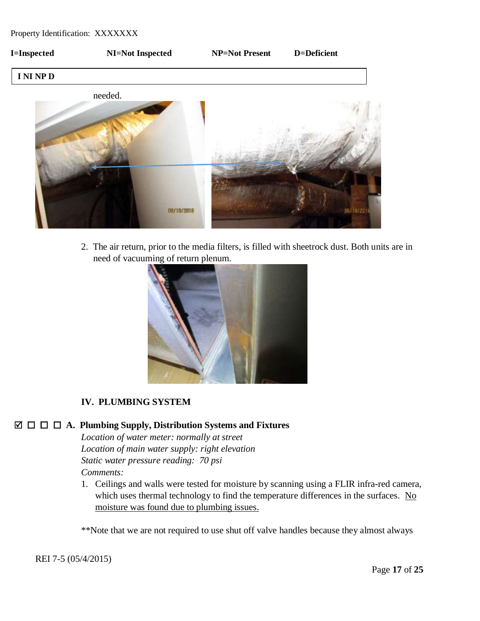| <b>I=Inspected</b> | <b>NI=Not Inspected</b> | <b>NP=Not Present</b> | D=Deficient |
|--------------------|-------------------------|-----------------------|-------------|
| <b>ININPD</b>      |                         |                       |             |
|                    | needed.                 |                       |             |
|                    |                         |                       |             |
|                    |                         |                       |             |
|                    |                         |                       |             |
|                    |                         |                       |             |
|                    | 05/19/2018              |                       | 8671972018  |
|                    |                         |                       |             |

2. The air return, prior to the media filters, is filled with sheetrock dust. Both units are in need of vacuuming of return plenum.



## **IV. PLUMBING SYSTEM**

#### $\boxtimes$   $\Box$   $\Box$   $\Box$  A. Plumbing Supply, Distribution Systems and Fixtures

*Location of water meter: normally at street Location of main water supply: right elevation Static water pressure reading: 70 psi Comments:* 

1. Ceilings and walls were tested for moisture by scanning using a FLIR infra-red camera, which uses thermal technology to find the temperature differences in the surfaces. No moisture was found due to plumbing issues.

\*\*Note that we are not required to use shut off valve handles because they almost always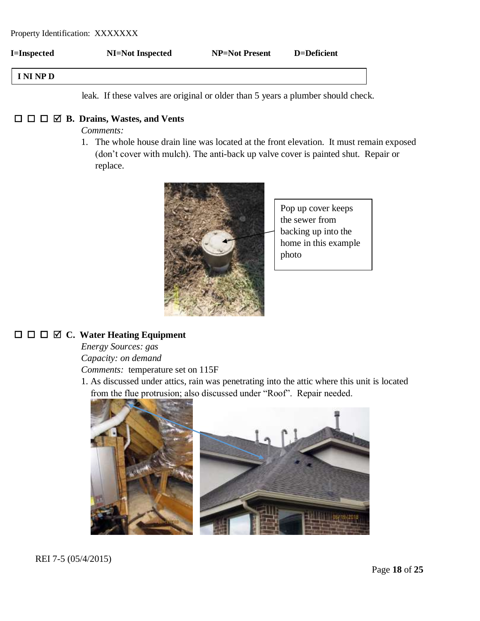| <b>I=Inspected</b> | NI=Not Inspected | NP=Not Present | D=Deficient |
|--------------------|------------------|----------------|-------------|
| I NI NP D          |                  |                |             |

leak. If these valves are original or older than 5 years a plumber should check.

#### $\Box$   $\Box$   $\Box$   $\Box$  **B.** Drains, Wastes, and Vents

*Comments:*

1. The whole house drain line was located at the front elevation. It must remain exposed (don't cover with mulch). The anti-back up valve cover is painted shut. Repair or replace.



Pop up cover keeps the sewer from backing up into the home in this example photo

## **C. Water Heating Equipment**

*Energy Sources: gas Capacity: on demand Comments:* temperature set on 115F

1. As discussed under attics, rain was penetrating into the attic where this unit is located from the flue protrusion; also discussed under "Roof". Repair needed.

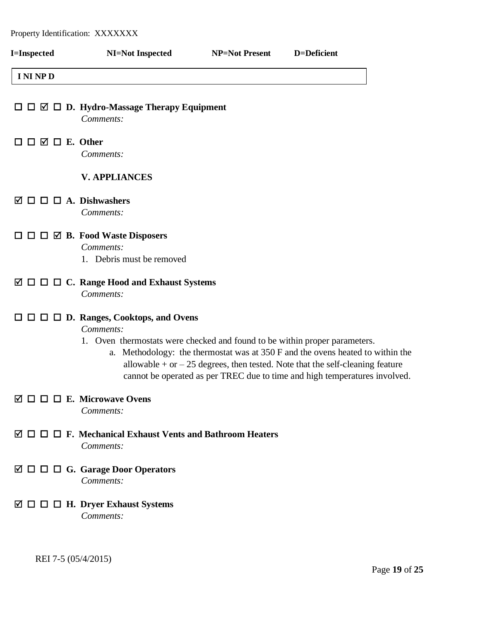Property Identification: XXXXXXX

| <b>I=Inspected</b>                              | <b>NI=Not Inspected</b>                                                                                                                                                                                                                 | <b>NP=Not Present</b> | D=Deficient                                                                                                                                                     |
|-------------------------------------------------|-----------------------------------------------------------------------------------------------------------------------------------------------------------------------------------------------------------------------------------------|-----------------------|-----------------------------------------------------------------------------------------------------------------------------------------------------------------|
| <b>ININPD</b>                                   |                                                                                                                                                                                                                                         |                       |                                                                                                                                                                 |
|                                                 | $\Box$ $\Box$ $\Box$ $\Box$ D. Hydro-Massage Therapy Equipment<br>Comments:                                                                                                                                                             |                       |                                                                                                                                                                 |
| $\Box$ $\Box$ $\Box$ E. Other                   | Comments:                                                                                                                                                                                                                               |                       |                                                                                                                                                                 |
|                                                 | <b>V. APPLIANCES</b>                                                                                                                                                                                                                    |                       |                                                                                                                                                                 |
| $\boxtimes$ $\Box$ $\Box$ $\Box$ A. Dishwashers | Comments:                                                                                                                                                                                                                               |                       |                                                                                                                                                                 |
|                                                 | $\Box$ $\Box$ $\Box$ $\Box$ B. Food Waste Disposers<br>Comments:<br>1. Debris must be removed                                                                                                                                           |                       |                                                                                                                                                                 |
|                                                 | $\boxtimes \square \square \square \square$ C. Range Hood and Exhaust Systems<br>Comments:                                                                                                                                              |                       |                                                                                                                                                                 |
|                                                 | $\Box$ $\Box$ $\Box$ $\Box$ D. Ranges, Cooktops, and Ovens<br>Comments:<br>1. Oven thermostats were checked and found to be within proper parameters.<br>a. Methodology: the thermostat was at 350 F and the ovens heated to within the |                       | allowable $+$ or $-$ 25 degrees, then tested. Note that the self-cleaning feature<br>cannot be operated as per TREC due to time and high temperatures involved. |
|                                                 | $\boxtimes$ $\Box$ $\Box$ $\Box$ E. Microwave Ovens<br>Comments:                                                                                                                                                                        |                       |                                                                                                                                                                 |
|                                                 | $\boxtimes$ $\Box$ $\Box$ $\Box$ F. Mechanical Exhaust Vents and Bathroom Heaters<br>Comments:                                                                                                                                          |                       |                                                                                                                                                                 |
|                                                 | $\boxtimes \square \square \square$ G. Garage Door Operators<br>Comments:                                                                                                                                                               |                       |                                                                                                                                                                 |
|                                                 | $\boxtimes$ $\Box$ $\Box$ $\Box$ H. Dryer Exhaust Systems<br>Comments:                                                                                                                                                                  |                       |                                                                                                                                                                 |
|                                                 | REI 7-5 (05/4/2015)                                                                                                                                                                                                                     |                       |                                                                                                                                                                 |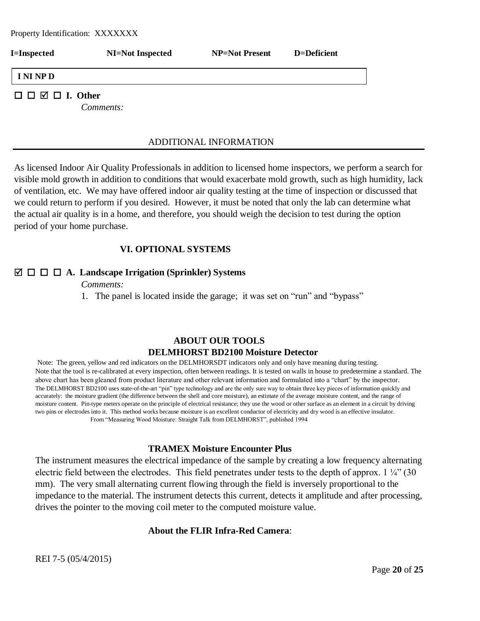| <b>I=Inspected</b>                   | <b>NI=Not Inspected</b> | <b>NP=Not Present</b> | D=Deficient |
|--------------------------------------|-------------------------|-----------------------|-------------|
| ININPD                               |                         |                       |             |
| $\Box$ $\Box$ $\Box$ $\Box$ I. Other |                         |                       |             |
|                                      | Comments:               |                       |             |

#### ADDITIONAL INFORMATION

As licensed Indoor Air Quality Professionals in addition to licensed home inspectors, we perform a search for visible mold growth in addition to conditions that would exacerbate mold growth, such as high humidity, lack of ventilation, etc. We may have offered indoor air quality testing at the time of inspection or discussed that we could return to perform if you desired. However, it must be noted that only the lab can determine what the actual air quality is in a home, and therefore, you should weigh the decision to test during the option period of your home purchase.

#### **VI. OPTIONAL SYSTEMS**

#### **A. Landscape Irrigation (Sprinkler) Systems**

#### *Comments:*

1. The panel is located inside the garage; it was set on "run" and "bypass"

### **ABOUT OUR TOOLS DELMHORST BD2100 Moisture Detector**

Note: The green, yellow and red indicators on the DELMHORSDT indicators only and only have meaning during testing. Note that the tool is re-calibrated at every inspection, often between readings. It is tested on walls in house to predetermine a standard. The above chart has been gleaned from product literature and other relevant information and formulated into a "chart" by the inspector. The DELMHORST BD2100 uses state-of-the-art "pin" type technology and are the only sure way to obtain three key pieces of information quickly and accurately: the moisture gradient (the difference between the shell and core moisture), an estimate of the average moisture content, and the range of moisture content. Pin-type meters operate on the principle of electrical resistance; they use the wood or other surface as an element in a circuit by driving two pins or electrodes into it. This method works because moisture is an excellent conductor of electricity and dry wood is an effective insulator. From "Measuring Wood Moisture: Straight Talk from DELMHORST", published 1994

#### **TRAMEX Moisture Encounter Plus**

The instrument measures the electrical impedance of the sample by creating a low frequency alternating electric field between the electrodes. This field penetrates under tests to the depth of approx.  $1\frac{1}{4}$  (30) mm). The very small alternating current flowing through the field is inversely proportional to the impedance to the material. The instrument detects this current, detects it amplitude and after processing, drives the pointer to the moving coil meter to the computed moisture value.

#### **About the FLIR Infra-Red Camera**: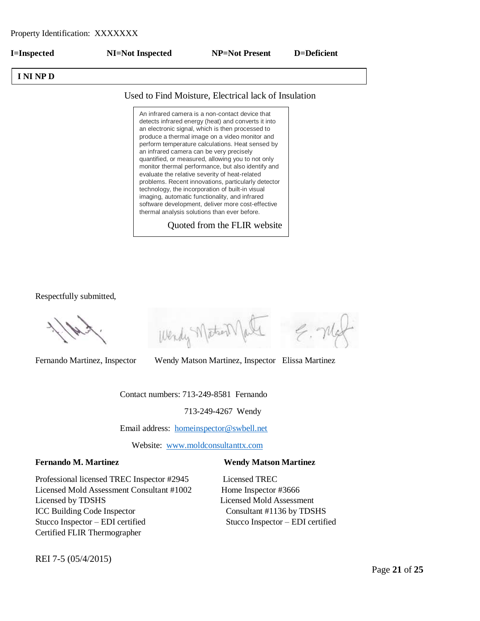| <b>I=Inspected</b> | <b>NI=Not Inspected</b> | <b>NP=Not Present</b> | D=Deficient |
|--------------------|-------------------------|-----------------------|-------------|
|                    |                         |                       |             |

#### Used to Find Moisture, Electrical lack of Insulation

An infrared camera is a non-contact device that detects infrared energy (heat) and converts it into an electronic signal, which is then processed to produce a thermal image on a video monitor and perform temperature calculations. Heat sensed by an infrared camera can be very precisely quantified, or measured, allowing you to not only monitor thermal performance, but also identify and evaluate the relative severity of heat-related problems. Recent innovations, particularly detector technology, the incorporation of built-in visual imaging, automatic functionality, and infrared software development, deliver more cost-effective thermal analysis solutions than ever before.

Quoted from the FLIR website

Respectfully submitted,

Wendy Matson

Fernando Martinez, Inspector Wendy Matson Martinez, Inspector Elissa Martinez

Contact numbers: 713-249-8581 Fernando

713-249-4267 Wendy

Email address: [homeinspector@swbell.net](mailto:homeinspector@swbell.net)

Website: [www.moldconsultanttx.com](http://www.moldconsultanttx.com/)

Professional licensed TREC Inspector #2945 Licensed TREC Licensed Mold Assessment Consultant #1002 Home Inspector #3666 Licensed by TDSHS Licensed Mold Assessment ICC Building Code Inspector Consultant #1136 by TDSHS Stucco Inspector – EDI certified Stucco Inspector – EDI certified Certified FLIR Thermographer

#### Fernando M. Martinez **Wendy Matson Martinez**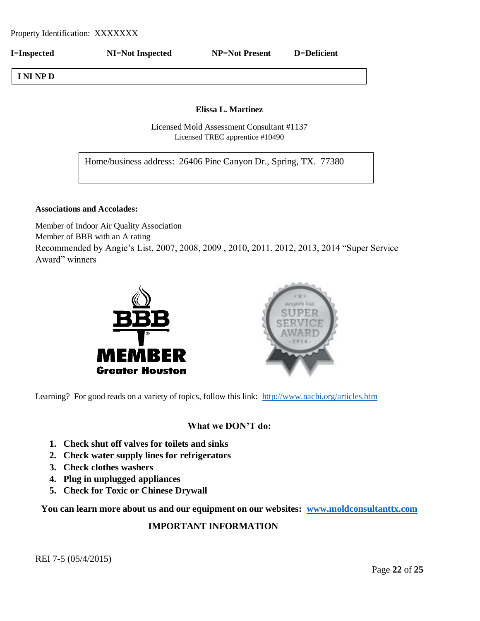| <b>I=Inspected</b> | NI=Not Inspected | NP=Not Present | D=Deficient |  |
|--------------------|------------------|----------------|-------------|--|
| I NI NP D          |                  |                |             |  |

#### **Elissa L. Martinez**

Licensed Mold Assessment Consultant #1137 Licensed TREC apprentice #10490

Home/business address: 26406 Pine Canyon Dr., Spring, TX. 77380

#### **Associations and Accolades:**

Member of Indoor Air Quality Association Member of BBB with an A rating Recommended by Angie's List, 2007, 2008, 2009 , 2010, 2011. 2012, 2013, 2014 "Super Service Award" winners





Learning? For good reads on a variety of topics, follow this link: <http://www.nachi.org/articles.htm>

#### **What we DON'T do:**

- **1. Check shut off valves for toilets and sinks**
- **2. Check water supply lines for refrigerators**
- **3. Check clothes washers**
- **4. Plug in unplugged appliances**
- **5. Check for Toxic or Chinese Drywall**

**You can learn more about us and our equipment on our websites: [www.moldconsultanttx.com](http://www.moldconsultanttx.com/)**

### **IMPORTANT INFORMATION**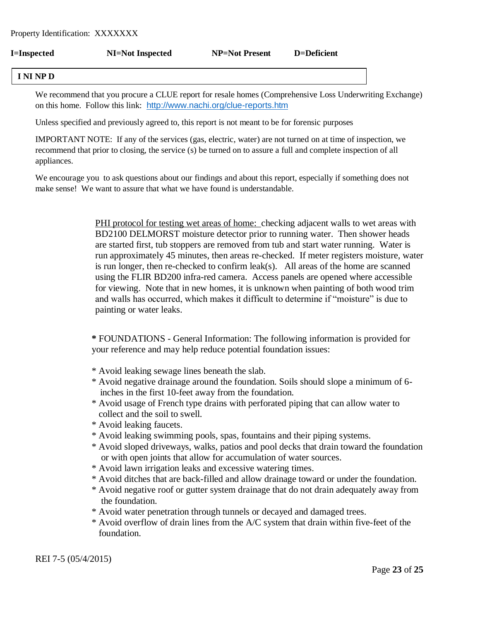| <b>I=Inspected</b> | NI=Not Inspected | <b>NP=Not Present</b> | D=Deficient |  |
|--------------------|------------------|-----------------------|-------------|--|
| I NI NP D          |                  |                       |             |  |

We recommend that you procure a CLUE report for resale homes (Comprehensive Loss Underwriting Exchange) on this home. Follow this link: <http://www.nachi.org/clue-reports.htm>

Unless specified and previously agreed to, this report is not meant to be for forensic purposes

IMPORTANT NOTE: If any of the services (gas, electric, water) are not turned on at time of inspection, we recommend that prior to closing, the service (s) be turned on to assure a full and complete inspection of all appliances.

We encourage you to ask questions about our findings and about this report, especially if something does not make sense! We want to assure that what we have found is understandable.

> PHI protocol for testing wet areas of home: checking adjacent walls to wet areas with BD2100 DELMORST moisture detector prior to running water. Then shower heads are started first, tub stoppers are removed from tub and start water running. Water is run approximately 45 minutes, then areas re-checked. If meter registers moisture, water is run longer, then re-checked to confirm leak(s). All areas of the home are scanned using the FLIR BD200 infra-red camera. Access panels are opened where accessible for viewing. Note that in new homes, it is unknown when painting of both wood trim and walls has occurred, which makes it difficult to determine if "moisture" is due to painting or water leaks.

**\*** FOUNDATIONS - General Information: The following information is provided for your reference and may help reduce potential foundation issues:

- \* Avoid leaking sewage lines beneath the slab.
- \* Avoid negative drainage around the foundation. Soils should slope a minimum of 6 inches in the first 10-feet away from the foundation.
- \* Avoid usage of French type drains with perforated piping that can allow water to collect and the soil to swell.
- \* Avoid leaking faucets.
- \* Avoid leaking swimming pools, spas, fountains and their piping systems.
- \* Avoid sloped driveways, walks, patios and pool decks that drain toward the foundation or with open joints that allow for accumulation of water sources.
- \* Avoid lawn irrigation leaks and excessive watering times.
- \* Avoid ditches that are back-filled and allow drainage toward or under the foundation.
- \* Avoid negative roof or gutter system drainage that do not drain adequately away from the foundation.
- \* Avoid water penetration through tunnels or decayed and damaged trees.
- \* Avoid overflow of drain lines from the A/C system that drain within five-feet of the foundation.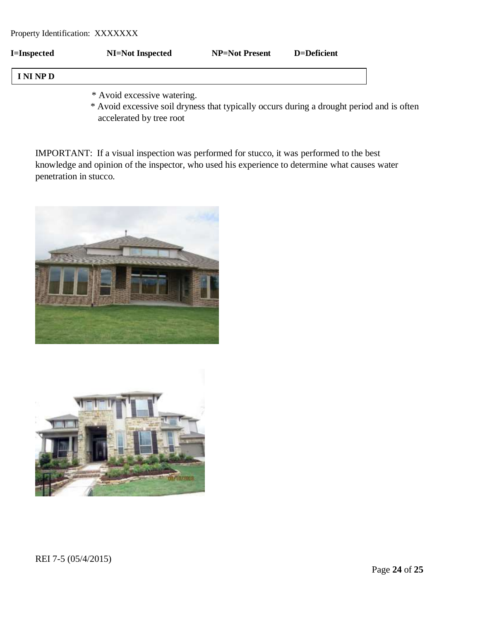| <b>I=Inspected</b> | NI=Not Inspected | NP=Not Present | D=Deficient |
|--------------------|------------------|----------------|-------------|
| I NI NP D          |                  |                |             |

- \* Avoid excessive watering.
- \* Avoid excessive soil dryness that typically occurs during a drought period and is often accelerated by tree root

IMPORTANT: If a visual inspection was performed for stucco, it was performed to the best knowledge and opinion of the inspector, who used his experience to determine what causes water penetration in stucco.